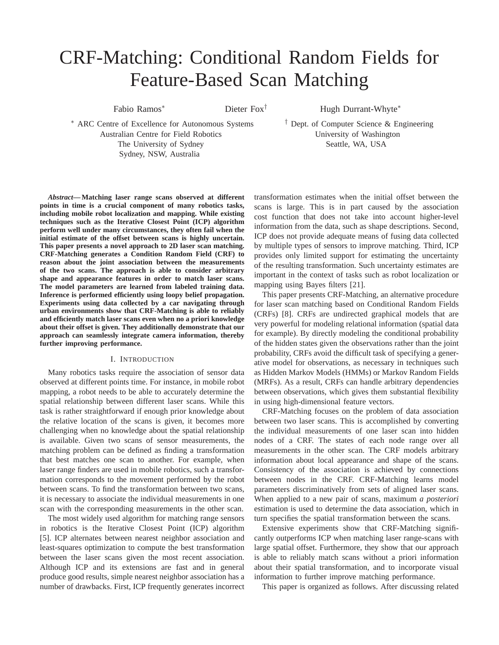# CRF-Matching: Conditional Random Fields for Feature-Based Scan Matching

Fabio Ramos<sup>∗</sup>

Dieter Fox<sup>†</sup> Hugh Durrant-Whyte<sup>∗</sup>

<sup>∗</sup> ARC Centre of Excellence for Autonomous Systems Australian Centre for Field Robotics The University of Sydney Sydney, NSW, Australia

† Dept. of Computer Science & Engineering University of Washington Seattle, WA, USA

*Abstract***— Matching laser range scans observed at different points in time is a crucial component of many robotics tasks, including mobile robot localization and mapping. While existing techniques such as the Iterative Closest Point (ICP) algorithm perform well under many circumstances, they often fail when the initial estimate of the offset between scans is highly uncertain. This paper presents a novel approach to 2D laser scan matching. CRF-Matching generates a Condition Random Field (CRF) to reason about the joint association between the measurements of the two scans. The approach is able to consider arbitrary shape and appearance features in order to match laser scans. The model parameters are learned from labeled training data. Inference is performed efficiently using loopy belief propagation. Experiments using data collected by a car navigating through urban environments show that CRF-Matching is able to reliably and efficiently match laser scans even when no a priori knowledge about their offset is given. They additionally demonstrate that our approach can seamlessly integrate camera information, thereby further improving performance.**

# I. INTRODUCTION

Many robotics tasks require the association of sensor data observed at different points time. For instance, in mobile robot mapping, a robot needs to be able to accurately determine the spatial relationship between different laser scans. While this task is rather straightforward if enough prior knowledge about the relative location of the scans is given, it becomes more challenging when no knowledge about the spatial relationship is available. Given two scans of sensor measurements, the matching problem can be defined as finding a transformation that best matches one scan to another. For example, when laser range finders are used in mobile robotics, such a transformation corresponds to the movement performed by the robot between scans. To find the transformation between two scans, it is necessary to associate the individual measurements in one scan with the corresponding measurements in the other scan.

The most widely used algorithm for matching range sensors in robotics is the Iterative Closest Point (ICP) algorithm [5]. ICP alternates between nearest neighbor association and least-squares optimization to compute the best transformation between the laser scans given the most recent association. Although ICP and its extensions are fast and in general produce good results, simple nearest neighbor association has a number of drawbacks. First, ICP frequently generates incorrect transformation estimates when the initial offset between the scans is large. This is in part caused by the association cost function that does not take into account higher-level information from the data, such as shape descriptions. Second, ICP does not provide adequate means of fusing data collected by multiple types of sensors to improve matching. Third, ICP provides only limited support for estimating the uncertainty of the resulting transformation. Such uncertainty estimates are important in the context of tasks such as robot localization or mapping using Bayes filters [21].

This paper presents CRF-Matching, an alternative procedure for laser scan matching based on Conditional Random Fields (CRFs) [8]. CRFs are undirected graphical models that are very powerful for modeling relational information (spatial data for example). By directly modeling the conditional probability of the hidden states given the observations rather than the joint probability, CRFs avoid the difficult task of specifying a generative model for observations, as necessary in techniques such as Hidden Markov Models (HMMs) or Markov Random Fields (MRFs). As a result, CRFs can handle arbitrary dependencies between observations, which gives them substantial flexibility in using high-dimensional feature vectors.

CRF-Matching focuses on the problem of data association between two laser scans. This is accomplished by converting the individual measurements of one laser scan into hidden nodes of a CRF. The states of each node range over all measurements in the other scan. The CRF models arbitrary information about local appearance and shape of the scans. Consistency of the association is achieved by connections between nodes in the CRF. CRF-Matching learns model parameters discriminatively from sets of aligned laser scans. When applied to a new pair of scans, maximum *a posteriori* estimation is used to determine the data association, which in turn specifies the spatial transformation between the scans.

Extensive experiments show that CRF-Matching significantly outperforms ICP when matching laser range-scans with large spatial offset. Furthermore, they show that our approach is able to reliably match scans without a priori information about their spatial transformation, and to incorporate visual information to further improve matching performance.

This paper is organized as follows. After discussing related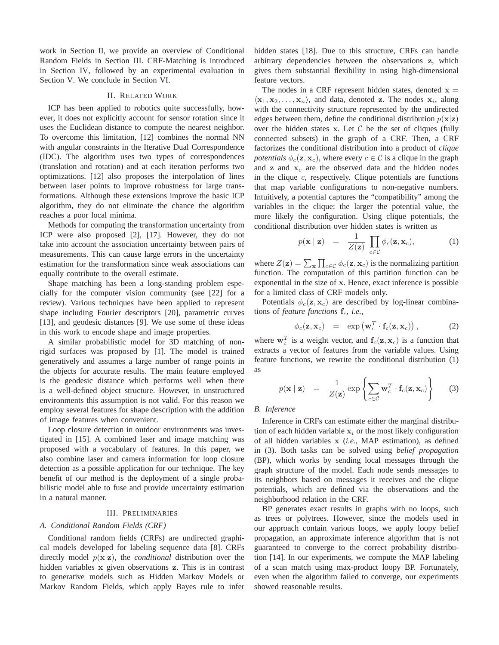work in Section II, we provide an overview of Conditional Random Fields in Section III. CRF-Matching is introduced in Section IV, followed by an experimental evaluation in Section V. We conclude in Section VI.

# II. RELATED WORK

ICP has been applied to robotics quite successfully, however, it does not explicitly account for sensor rotation since it uses the Euclidean distance to compute the nearest neighbor. To overcome this limitation, [12] combines the normal NN with angular constraints in the Iterative Dual Correspondence (IDC). The algorithm uses two types of correspondences (translation and rotation) and at each iteration performs two optimizations. [12] also proposes the interpolation of lines between laser points to improve robustness for large transformations. Although these extensions improve the basic ICP algorithm, they do not eliminate the chance the algorithm reaches a poor local minima.

Methods for computing the transformation uncertainty from ICP were also proposed [2], [17]. However, they do not take into account the association uncertainty between pairs of measurements. This can cause large errors in the uncertainty estimation for the transformation since weak associations can equally contribute to the overall estimate.

Shape matching has been a long-standing problem especially for the computer vision community (see [22] for a review). Various techniques have been applied to represent shape including Fourier descriptors [20], parametric curves [13], and geodesic distances [9]. We use some of these ideas in this work to encode shape and image properties.

A similar probabilistic model for 3D matching of nonrigid surfaces was proposed by [1]. The model is trained generatively and assumes a large number of range points in the objects for accurate results. The main feature employed is the geodesic distance which performs well when there is a well-defined object structure. However, in unstructured environments this assumption is not valid. For this reason we employ several features for shape description with the addition of image features when convenient.

Loop closure detection in outdoor environments was investigated in [15]. A combined laser and image matching was proposed with a vocabulary of features. In this paper, we also combine laser and camera information for loop closure detection as a possible application for our technique. The key benefit of our method is the deployment of a single probabilistic model able to fuse and provide uncertainty estimation in a natural manner.

## III. PRELIMINARIES

# *A. Conditional Random Fields (CRF)*

Conditional random fields (CRFs) are undirected graphical models developed for labeling sequence data [8]. CRFs directly model  $p(x|z)$ , the *conditional* distribution over the hidden variables x given observations z. This is in contrast to generative models such as Hidden Markov Models or Markov Random Fields, which apply Bayes rule to infer hidden states [18]. Due to this structure, CRFs can handle arbitrary dependencies between the observations z, which gives them substantial flexibility in using high-dimensional feature vectors.

The nodes in a CRF represent hidden states, denoted  $x =$  $\langle x_1, x_2, \ldots, x_n \rangle$ , and data, denoted z. The nodes  $x_i$ , along with the connectivity structure represented by the undirected edges between them, define the conditional distribution  $p(x|z)$ over the hidden states x. Let  $\mathcal C$  be the set of cliques (fully connected subsets) in the graph of a CRF. Then, a CRF factorizes the conditional distribution into a product of *clique potentials*  $\phi_c(\mathbf{z}, \mathbf{x}_c)$ , where every  $c \in \mathcal{C}$  is a clique in the graph and  $z$  and  $x_c$  are the observed data and the hidden nodes in the clique  $c$ , respectively. Clique potentials are functions that map variable configurations to non-negative numbers. Intuitively, a potential captures the "compatibility" among the variables in the clique: the larger the potential value, the more likely the configuration. Using clique potentials, the conditional distribution over hidden states is written as

$$
p(\mathbf{x} \mid \mathbf{z}) = \frac{1}{Z(\mathbf{z})} \prod_{c \in C} \phi_c(\mathbf{z}, \mathbf{x}_c), \tag{1}
$$

where  $Z(\mathbf{z}) = \sum_{\mathbf{x}} \prod_{c \in \mathcal{C}} \phi_c(\mathbf{z}, \mathbf{x}_c)$  is the normalizing partition function. The computation of this partition function can be exponential in the size of x. Hence, exact inference is possible for a limited class of CRF models only.

Potentials  $\phi_c(\mathbf{z}, \mathbf{x}_c)$  are described by log-linear combinations of *feature functions*  $f_c$ , *i.e.*,

$$
\phi_c(\mathbf{z}, \mathbf{x}_c) = \exp(\mathbf{w}_c^T \cdot \mathbf{f}_c(\mathbf{z}, \mathbf{x}_c)), \qquad (2)
$$

where  $\mathbf{w}_c^T$  is a weight vector, and  $\mathbf{f}_c(\mathbf{z}, \mathbf{x}_c)$  is a function that extracts a vector of features from the variable values. Using feature functions, we rewrite the conditional distribution (1) as

$$
p(\mathbf{x} \mid \mathbf{z}) = \frac{1}{Z(\mathbf{z})} \exp \left\{ \sum_{c \in \mathcal{C}} \mathbf{w}_c^T \cdot \mathbf{f}_c(\mathbf{z}, \mathbf{x}_c) \right\} \qquad (3)
$$

# *B. Inference*

Inference in CRFs can estimate either the marginal distribution of each hidden variable  $x_i$  or the most likely configuration of all hidden variables x (*i.e.*, MAP estimation), as defined in (3). Both tasks can be solved using *belief propagation* (BP), which works by sending local messages through the graph structure of the model. Each node sends messages to its neighbors based on messages it receives and the clique potentials, which are defined via the observations and the neighborhood relation in the CRF.

BP generates exact results in graphs with no loops, such as trees or polytrees. However, since the models used in our approach contain various loops, we apply loopy belief propagation, an approximate inference algorithm that is not guaranteed to converge to the correct probability distribution [14]. In our experiments, we compute the MAP labeling of a scan match using max-product loopy BP. Fortunately, even when the algorithm failed to converge, our experiments showed reasonable results.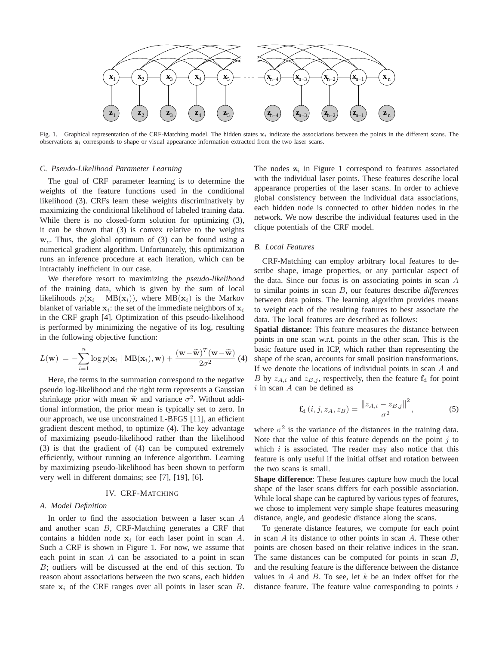

Fig. 1. Graphical representation of the CRF-Matching model. The hidden states  $x_i$  indicate the associations between the points in the different scans. The observations  $z_i$  corresponds to shape or visual appearance information extracted from the two laser scans.

# *C. Pseudo-Likelihood Parameter Learning*

The goal of CRF parameter learning is to determine the weights of the feature functions used in the conditional likelihood (3). CRFs learn these weights discriminatively by maximizing the conditional likelihood of labeled training data. While there is no closed-form solution for optimizing (3), it can be shown that (3) is convex relative to the weights  $w_c$ . Thus, the global optimum of (3) can be found using a numerical gradient algorithm. Unfortunately, this optimization runs an inference procedure at each iteration, which can be intractably inefficient in our case.

We therefore resort to maximizing the *pseudo-likelihood* of the training data, which is given by the sum of local likelihoods  $p(\mathbf{x}_i | \mathbf{MB}(\mathbf{x}_i))$ , where  $\mathbf{MB}(\mathbf{x}_i)$  is the Markov blanket of variable  $x_i$ : the set of the immediate neighbors of  $x_i$ in the CRF graph [4]. Optimization of this pseudo-likelihood is performed by minimizing the negative of its log, resulting in the following objective function:

$$
L(\mathbf{w}) = -\sum_{i=1}^{n} \log p(\mathbf{x}_i \mid \mathbf{MB}(\mathbf{x}_i), \mathbf{w}) + \frac{(\mathbf{w} - \widetilde{\mathbf{w}})^T (\mathbf{w} - \widetilde{\mathbf{w}})}{2\sigma^2} (4)
$$

Here, the terms in the summation correspond to the negative pseudo log-likelihood and the right term represents a Gaussian shrinkage prior with mean  $\tilde{w}$  and variance  $\sigma^2$ . Without additional information, the prior mean is turisally set to press. In tional information, the prior mean is typically set to zero. In our approach, we use unconstrained L-BFGS [11], an efficient gradient descent method, to optimize (4). The key advantage of maximizing pseudo-likelihood rather than the likelihood (3) is that the gradient of (4) can be computed extremely efficiently, without running an inference algorithm. Learning by maximizing pseudo-likelihood has been shown to perform very well in different domains; see [7], [19], [6].

# IV. CRF-MATCHING

## *A. Model Definition*

In order to find the association between a laser scan A and another scan B, CRF-Matching generates a CRF that contains a hidden node  $x_i$  for each laser point in scan A. Such a CRF is shown in Figure 1. For now, we assume that each point in scan  $A$  can be associated to a point in scan B; outliers will be discussed at the end of this section. To reason about associations between the two scans, each hidden state  $x_i$  of the CRF ranges over all points in laser scan  $B$ .

The nodes  $z_i$  in Figure 1 correspond to features associated with the individual laser points. These features describe local appearance properties of the laser scans. In order to achieve global consistency between the individual data associations, each hidden node is connected to other hidden nodes in the network. We now describe the individual features used in the clique potentials of the CRF model.

# *B. Local Features*

CRF-Matching can employ arbitrary local features to describe shape, image properties, or any particular aspect of the data. Since our focus is on associating points in scan A to similar points in scan B, our features describe *differences* between data points. The learning algorithm provides means to weight each of the resulting features to best associate the data. The local features are described as follows:

**Spatial distance**: This feature measures the distance between points in one scan w.r.t. points in the other scan. This is the basic feature used in ICP, which rather than representing the shape of the scan, accounts for small position transformations. If we denote the locations of individual points in scan  $A$  and B by  $z_{A,i}$  and  $z_{B,j}$ , respectively, then the feature  $f_d$  for point  $i$  in scan  $A$  can be defined as

$$
\mathbf{f}_{\rm d}\left(i,j,z_A,z_B\right) = \frac{\|z_{A,i} - z_{B,j}\|^2}{\sigma^2},\tag{5}
$$

where  $\sigma^2$  is the variance of the distances in the training data. Note that the value of this feature depends on the point  $j$  to which  $i$  is associated. The reader may also notice that this feature is only useful if the initial offset and rotation between the two scans is small.

**Shape difference**: These features capture how much the local shape of the laser scans differs for each possible association. While local shape can be captured by various types of features, we chose to implement very simple shape features measuring distance, angle, and geodesic distance along the scans.

To generate distance features, we compute for each point in scan A its distance to other points in scan A. These other points are chosen based on their relative indices in the scan. The same distances can be computed for points in scan B, and the resulting feature is the difference between the distance values in  $A$  and  $B$ . To see, let  $k$  be an index offset for the distance feature. The feature value corresponding to points  $i$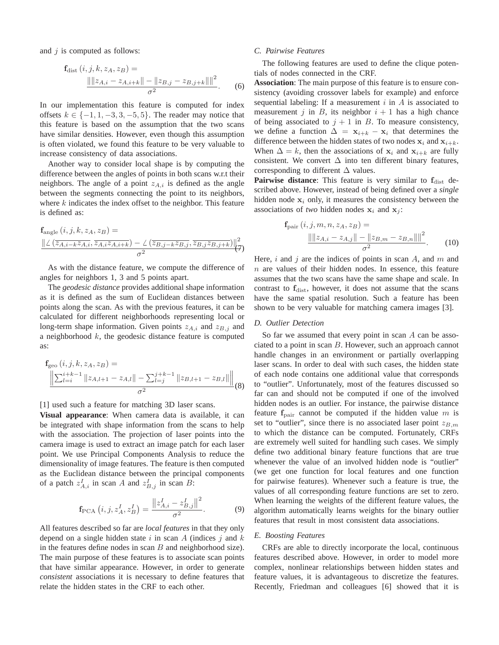and  $j$  is computed as follows:

$$
\mathbf{f}_{\text{dist}}\left(i,j,k,z_A,z_B\right) = \frac{\left\| \|z_{A,i} - z_{A,i+k} \| - \|z_{B,j} - z_{B,j+k} \| \right\|^2}{\sigma^2}.
$$
 (6)

In our implementation this feature is computed for index offsets  $k \in \{-1, 1, -3, 3, -5, 5\}$ . The reader may notice that this feature is based on the assumption that the two scans have similar densities. However, even though this assumption is often violated, we found this feature to be very valuable to increase consistency of data associations.

Another way to consider local shape is by computing the difference between the angles of points in both scans w.r.t their neighbors. The angle of a point  $z_{A,i}$  is defined as the angle between the segments connecting the point to its neighbors, where  $k$  indicates the index offset to the neighbor. This feature is defined as:

$$
\mathbf{f}_{\text{angle}}(i, j, k, z_A, z_B) =
$$
  
\n
$$
\frac{\left\| \angle \left( \overline{z_{A,i-k} z_{A,i}}, \overline{z_{A,i} z_{A,i+k}} \right) - \angle \left( \overline{z_{B,j-k} z_{B,j}}, \overline{z_{B,j} z_{B,j+k}} \right) \right\|_2^2}{\sigma^2}
$$

As with the distance feature, we compute the difference of angles for neighbors 1, 3 and 5 points apart.

The *geodesic distance* provides additional shape information as it is defined as the sum of Euclidean distances between points along the scan. As with the previous features, it can be calculated for different neighborhoods representing local or long-term shape information. Given points  $z_{A,i}$  and  $z_{B,j}$  and a neighborhood  $k$ , the geodesic distance feature is computed as:

$$
\mathbf{f}_{\text{geo}}(i, j, k, z_A, z_B) = \frac{\left\| \sum_{l=i}^{i+k-1} \|z_{A,l+1} - z_{A,l} \| - \sum_{l=j}^{j+k-1} \|z_{B,l+1} - z_{B,l} \| \right\|}{\sigma^2} (8)
$$

[1] used such a feature for matching 3D laser scans.

**Visual appearance**: When camera data is available, it can be integrated with shape information from the scans to help with the association. The projection of laser points into the camera image is used to extract an image patch for each laser point. We use Principal Components Analysis to reduce the dimensionality of image features. The feature is then computed as the Euclidean distance between the principal components of a patch  $z_{A,i}^I$  in scan A and  $z_{B,j}^I$  in scan B:

$$
\mathbf{f}_{\text{PCA}}\left(i,j,z_A^I,z_B^I\right) = \frac{\left\|z_{A,i}^I - z_{B,j}^I\right\|^2}{\sigma^2}.
$$
 (9)

All features described so far are *local features* in that they only depend on a single hidden state  $i$  in scan  $A$  (indices  $j$  and  $k$ in the features define nodes in scan  $B$  and neighborhood size). The main purpose of these features is to associate scan points that have similar appearance. However, in order to generate *consistent* associations it is necessary to define features that relate the hidden states in the CRF to each other.

## *C. Pairwise Features*

The following features are used to define the clique potentials of nodes connected in the CRF.

**Association**: The main purpose of this feature is to ensure consistency (avoiding crossover labels for example) and enforce sequential labeling: If a measurement  $i$  in  $A$  is associated to measurement j in B, its neighbor  $i + 1$  has a high chance of being associated to  $j + 1$  in B. To measure consistency, we define a function  $\Delta = \mathbf{x}_{i+k} - \mathbf{x}_i$  that determines the difference between the hidden states of two nodes  $x_i$  and  $x_{i+k}$ . When  $\Delta = k$ , then the associations of  $x_i$  and  $x_{i+k}$  are fully consistent. We convert  $\Delta$  into ten different binary features, corresponding to different  $\Delta$  values.

Pairwise distance: This feature is very similar to f<sub>dist</sub> described above. However, instead of being defined over a *single* hidden node  $x_i$  only, it measures the consistency between the associations of *two* hidden nodes  $x_i$  and  $x_j$ :

$$
\mathbf{f}_{\text{pair}}\left(i,j,m,n,z_A,z_B\right) = \frac{\left\| \|z_{A,i} - z_{A,j}\| - \|z_{B,m} - z_{B,n}\| \right\|^2}{\sigma^2}.
$$
 (10)

Here,  $i$  and  $j$  are the indices of points in scan  $A$ , and  $m$  and  $n$  are values of their hidden nodes. In essence, this feature assumes that the two scans have the same shape and scale. In contrast to  $f_{\text{dist}}$ , however, it does not assume that the scans have the same spatial resolution. Such a feature has been shown to be very valuable for matching camera images [3].

# *D. Outlier Detection*

So far we assumed that every point in scan  $A$  can be associated to a point in scan B. However, such an approach cannot handle changes in an environment or partially overlapping laser scans. In order to deal with such cases, the hidden state of each node contains one additional value that corresponds to "outlier". Unfortunately, most of the features discussed so far can and should not be computed if one of the involved hidden nodes is an outlier. For instance, the pairwise distance feature  $f_{\text{pair}}$  cannot be computed if the hidden value m is set to "outlier", since there is no associated laser point  $z_{B,m}$ to which the distance can be computed. Fortunately, CRFs are extremely well suited for handling such cases. We simply define two additional binary feature functions that are true whenever the value of an involved hidden node is "outlier" (we get one function for local features and one function for pairwise features). Whenever such a feature is true, the values of all corresponding feature functions are set to zero. When learning the weights of the different feature values, the algorithm automatically learns weights for the binary outlier features that result in most consistent data associations.

## *E. Boosting Features*

CRFs are able to directly incorporate the local, continuous features described above. However, in order to model more complex, nonlinear relationships between hidden states and feature values, it is advantageous to discretize the features. Recently, Friedman and colleagues [6] showed that it is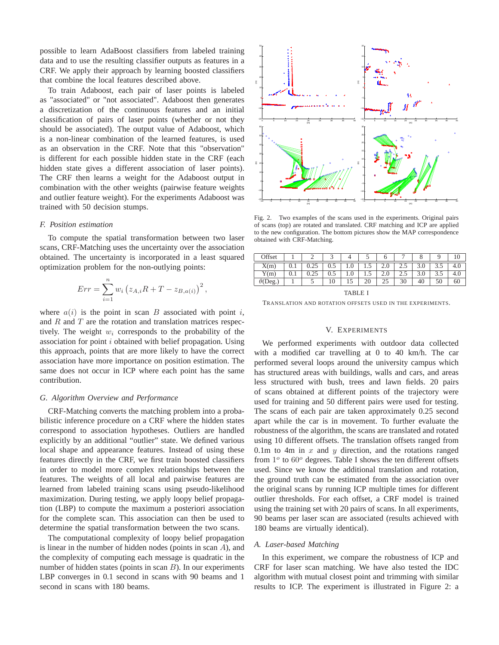possible to learn AdaBoost classifiers from labeled training data and to use the resulting classifier outputs as features in a CRF. We apply their approach by learning boosted classifiers that combine the local features described above.

To train Adaboost, each pair of laser points is labeled as "associated" or "not associated". Adaboost then generates a discretization of the continuous features and an initial classification of pairs of laser points (whether or not they should be associated). The output value of Adaboost, which is a non-linear combination of the learned features, is used as an observation in the CRF. Note that this "observation" is different for each possible hidden state in the CRF (each hidden state gives a different association of laser points). The CRF then learns a weight for the Adaboost output in combination with the other weights (pairwise feature weights and outlier feature weight). For the experiments Adaboost was trained with 50 decision stumps.

### *F. Position estimation*

To compute the spatial transformation between two laser scans, CRF-Matching uses the uncertainty over the association obtained. The uncertainty is incorporated in a least squared optimization problem for the non-outlying points:

$$
Err = \sum_{i=1}^{n} w_i (z_{A,i}R + T - z_{B,a(i)})^2
$$

,

where  $a(i)$  is the point in scan B associated with point i, and  $R$  and  $T$  are the rotation and translation matrices respectively. The weight  $w_i$  corresponds to the probability of the association for point i obtained with belief propagation. Using this approach, points that are more likely to have the correct association have more importance on position estimation. The same does not occur in ICP where each point has the same contribution.

## *G. Algorithm Overview and Performance*

CRF-Matching converts the matching problem into a probabilistic inference procedure on a CRF where the hidden states correspond to association hypotheses. Outliers are handled explicitly by an additional "outlier" state. We defined various local shape and appearance features. Instead of using these features directly in the CRF, we first train boosted classifiers in order to model more complex relationships between the features. The weights of all local and pairwise features are learned from labeled training scans using pseudo-likelihood maximization. During testing, we apply loopy belief propagation (LBP) to compute the maximum a posteriori association for the complete scan. This association can then be used to determine the spatial transformation between the two scans.

The computational complexity of loopy belief propagation is linear in the number of hidden nodes (points in scan  $A$ ), and the complexity of computing each message is quadratic in the number of hidden states (points in scan  $B$ ). In our experiments LBP converges in 0.1 second in scans with 90 beams and 1 second in scans with 180 beams.



Fig. 2. Two examples of the scans used in the experiments. Original pairs of scans (top) are rotated and translated. CRF matching and ICP are applied to the new configuration. The bottom pictures show the MAP correspondence obtained with CRF-Matching.

| Offset          |  |      |    |     |     | O   |                    |     |                      |     |
|-----------------|--|------|----|-----|-----|-----|--------------------|-----|----------------------|-----|
| X(m)            |  |      |    |     |     |     | ر. .               | 3.0 | ر. ر                 |     |
| Y(m)            |  | 0.25 |    | 1.0 | 1.J | 2.0 | $\bigcap$<br>ن د ک | 3.0 | $\mathcal{L}$<br>ں د | 4.0 |
| $\theta$ (Deg.) |  |      | 10 | 15  | 20  | 25  | 30                 | 40  | 50                   |     |
| TABLE           |  |      |    |     |     |     |                    |     |                      |     |

TRANSLATION AND ROTATION OFFSETS USED IN THE EXPERIMENTS.

# V. EXPERIMENTS

We performed experiments with outdoor data collected with a modified car travelling at 0 to 40 km/h. The car performed several loops around the university campus which has structured areas with buildings, walls and cars, and areas less structured with bush, trees and lawn fields. 20 pairs of scans obtained at different points of the trajectory were used for training and 50 different pairs were used for testing. The scans of each pair are taken approximately 0.25 second apart while the car is in movement. To further evaluate the robustness of the algorithm, the scans are translated and rotated using 10 different offsets. The translation offsets ranged from 0.1m to 4m in  $x$  and  $y$  direction, and the rotations ranged from  $1^o$  to  $60^o$  degrees. Table I shows the ten different offsets used. Since we know the additional translation and rotation, the ground truth can be estimated from the association over the original scans by running ICP multiple times for different outlier thresholds. For each offset, a CRF model is trained using the training set with 20 pairs of scans. In all experiments, 90 beams per laser scan are associated (results achieved with 180 beams are virtually identical).

# *A. Laser-based Matching*

In this experiment, we compare the robustness of ICP and CRF for laser scan matching. We have also tested the IDC algorithm with mutual closest point and trimming with similar results to ICP. The experiment is illustrated in Figure 2: a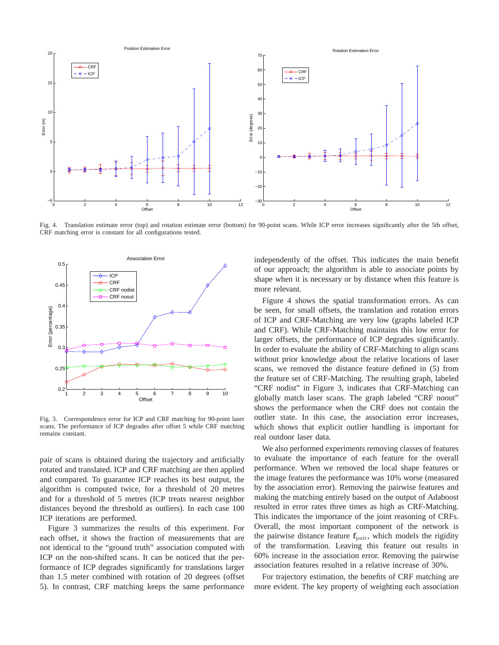

Fig. 4. Translation estimate error (top) and rotation estimate error (bottom) for 90-point scans. While ICP error increases significantly after the 5th offset, CRF matching error is constant for all configurations tested.



Fig. 3. Correspondence error for ICP and CRF matching for 90-point laser scans. The performance of ICP degrades after offset 5 while CRF matching remains constant.

pair of scans is obtained during the trajectory and artificially rotated and translated. ICP and CRF matching are then applied and compared. To guarantee ICP reaches its best output, the algorithm is computed twice, for a threshold of 20 metres and for a threshold of 5 metres (ICP treats nearest neighbor distances beyond the threshold as outliers). In each case 100 ICP iterations are performed.

Figure 3 summarizes the results of this experiment. For each offset, it shows the fraction of measurements that are not identical to the "ground truth" association computed with ICP on the non-shifted scans. It can be noticed that the performance of ICP degrades significantly for translations larger than 1.5 meter combined with rotation of 20 degrees (offset 5). In contrast, CRF matching keeps the same performance independently of the offset. This indicates the main benefit of our approach; the algorithm is able to associate points by shape when it is necessary or by distance when this feature is more relevant.

Figure 4 shows the spatial transformation errors. As can be seen, for small offsets, the translation and rotation errors of ICP and CRF-Matching are very low (graphs labeled ICP and CRF). While CRF-Matching maintains this low error for larger offsets, the performance of ICP degrades significantly. In order to evaluate the ability of CRF-Matching to align scans without prior knowledge about the relative locations of laser scans, we removed the distance feature defined in (5) from the feature set of CRF-Matching. The resulting graph, labeled "CRF nodist" in Figure 3, indicates that CRF-Matching can globally match laser scans. The graph labeled "CRF noout" shows the performance when the CRF does not contain the outlier state. In this case, the association error increases, which shows that explicit outlier handling is important for real outdoor laser data.

We also performed experiments removing classes of features to evaluate the importance of each feature for the overall performance. When we removed the local shape features or the image features the performance was 10% worse (measured by the association error). Removing the pairwise features and making the matching entirely based on the output of Adaboost resulted in error rates three times as high as CRF-Matching. This indicates the importance of the joint reasoning of CRFs. Overall, the most important component of the network is the pairwise distance feature  $f_{\text{pair}}$ , which models the rigidity of the transformation. Leaving this feature out results in 60% increase in the association error. Removing the pairwise association features resulted in a relative increase of 30%.

For trajectory estimation, the benefits of CRF matching are more evident. The key property of weighting each association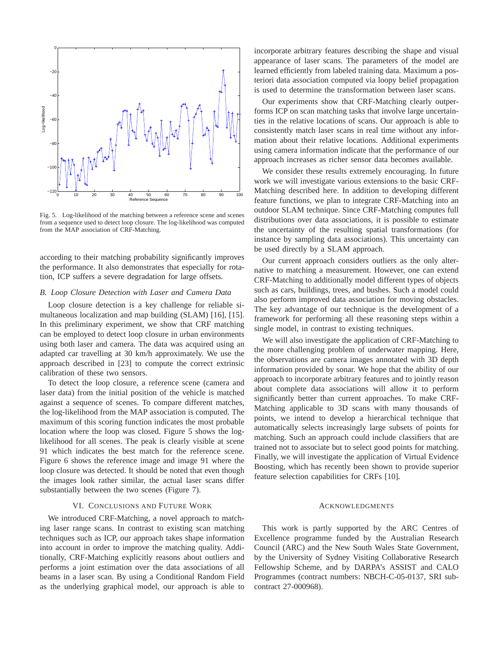

Fig. 5. Log-likelihood of the matching between a reference scene and scenes from a sequence used to detect loop closure. The log-likelihood was computed from the MAP association of CRF-Matching.

according to their matching probability significantly improves the performance. It also demonstrates that especially for rotation, ICP suffers a severe degradation for large offsets.

# *B. Loop Closure Detection with Laser and Camera Data*

Loop closure detection is a key challenge for reliable simultaneous localization and map building (SLAM) [16], [15]. In this preliminary experiment, we show that CRF matching can be employed to detect loop closure in urban environments using both laser and camera. The data was acquired using an adapted car travelling at 30 km/h approximately. We use the approach described in [23] to compute the correct extrinsic calibration of these two sensors.

To detect the loop closure, a reference scene (camera and laser data) from the initial position of the vehicle is matched against a sequence of scenes. To compare different matches, the log-likelihood from the MAP association is computed. The maximum of this scoring function indicates the most probable location where the loop was closed. Figure 5 shows the loglikelihood for all scenes. The peak is clearly visible at scene 91 which indicates the best match for the reference scene. Figure 6 shows the reference image and image 91 where the loop closure was detected. It should be noted that even though the images look rather similar, the actual laser scans differ substantially between the two scenes (Figure 7).

# VI. CONCLUSIONS AND FUTURE WORK

We introduced CRF-Matching, a novel approach to matching laser range scans. In contrast to existing scan matching techniques such as ICP, our approach takes shape information into account in order to improve the matching quality. Additionally, CRF-Matching explicitly reasons about outliers and performs a joint estimation over the data associations of all beams in a laser scan. By using a Conditional Random Field as the underlying graphical model, our approach is able to

incorporate arbitrary features describing the shape and visual appearance of laser scans. The parameters of the model are learned efficiently from labeled training data. Maximum a posteriori data association computed via loopy belief propagation is used to determine the transformation between laser scans.

Our experiments show that CRF-Matching clearly outperforms ICP on scan matching tasks that involve large uncertainties in the relative locations of scans. Our approach is able to consistently match laser scans in real time without any information about their relative locations. Additional experiments using camera information indicate that the performance of our approach increases as richer sensor data becomes available.

We consider these results extremely encouraging. In future work we will investigate various extensions to the basic CRF-Matching described here. In addition to developing different feature functions, we plan to integrate CRF-Matching into an outdoor SLAM technique. Since CRF-Matching computes full distributions over data associations, it is possible to estimate the uncertainty of the resulting spatial transformations (for instance by sampling data associations). This uncertainty can be used directly by a SLAM approach.

Our current approach considers outliers as the only alternative to matching a measurement. However, one can extend CRF-Matching to additionally model different types of objects such as cars, buildings, trees, and bushes. Such a model could also perform improved data association for moving obstacles. The key advantage of our technique is the development of a framework for performing all these reasoning steps within a single model, in contrast to existing techniques.

We will also investigate the application of CRF-Matching to the more challenging problem of underwater mapping. Here, the observations are camera images annotated with 3D depth information provided by sonar. We hope that the ability of our approach to incorporate arbitrary features and to jointly reason about complete data associations will allow it to perform significantly better than current approaches. To make CRF-Matching applicable to 3D scans with many thousands of points, we intend to develop a hierarchical technique that automatically selects increasingly large subsets of points for matching. Such an approach could include classifiers that are trained not to associate but to select good points for matching. Finally, we will investigate the application of Virtual Evidence Boosting, which has recently been shown to provide superior feature selection capabilities for CRFs [10].

#### ACKNOWLEDGMENTS

This work is partly supported by the ARC Centres of Excellence programme funded by the Australian Research Council (ARC) and the New South Wales State Government, by the University of Sydney Visiting Collaborative Research Fellowship Scheme, and by DARPA's ASSIST and CALO Programmes (contract numbers: NBCH-C-05-0137, SRI subcontract 27-000968).